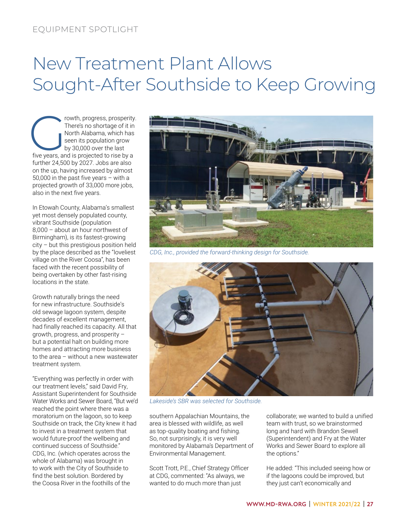## New Treatment Plant Allows Sought-After Southside to Keep Growing

Free's no shortage of it in<br>There's no shortage of it in<br>North Alabama, which has<br>seen its population grow<br>by 30,000 over the last<br>five years, and is projected to rise by a There's no shortage of it in North Alabama, which has seen its population grow by 30,000 over the last further 24,500 by 2027. Jobs are also on the up, having increased by almost 50,000 in the past five years – with a projected growth of 33,000 more jobs, also in the next five years.

In Etowah County, Alabama's smallest yet most densely populated county, vibrant Southside (population 8,000 – about an hour northwest of Birmingham), is its fastest-growing city – but this prestigious position held by the place described as the "loveliest village on the River Coosa", has been faced with the recent possibility of being overtaken by other fast-rising locations in the state.

Growth naturally brings the need for new infrastructure. Southside's old sewage lagoon system, despite decades of excellent management, had finally reached its capacity. All that growth, progress, and prosperity – but a potential halt on building more homes and attracting more business to the area – without a new wastewater treatment system.

"Everything was perfectly in order with our treatment levels," said David Fry, Assistant Superintendent for Southside Water Works and Sewer Board, "But we'd reached the point where there was a moratorium on the lagoon, so to keep Southside on track, the City knew it had to invest in a treatment system that would future-proof the wellbeing and continued success of Southside." CDG, Inc. (which operates across the whole of Alabama) was brought in to work with the City of Southside to find the best solution. Bordered by the Coosa River in the foothills of the



*CDG, Inc., provided the forward-thinking design for Southside.*



*Lakeside's SBR was selected for Southside.*

southern Appalachian Mountains, the area is blessed with wildlife, as well as top-quality boating and fishing. So, not surprisingly, it is very well monitored by Alabama's Department of Environmental Management.

Scott Trott, P.E., Chief Strategy Officer at CDG, commented: "As always, we wanted to do much more than just

collaborate; we wanted to build a unified team with trust, so we brainstormed long and hard with Brandon Sewell (Superintendent) and Fry at the Water Works and Sewer Board to explore all the options."

He added: "This included seeing how or if the lagoons could be improved, but they just can't economically and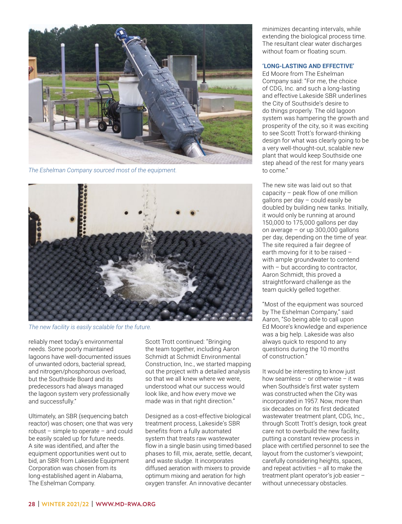

*The Eshelman Company sourced most of the equipment.*



*The new facility is easily scalable for the future.*

reliably meet today's environmental needs. Some poorly maintained lagoons have well-documented issues of unwanted odors, bacterial spread, and nitrogen/phosphorous overload, but the Southside Board and its predecessors had always managed the lagoon system very professionally and successfully."

Ultimately, an SBR (sequencing batch reactor) was chosen; one that was very robust – simple to operate – and could be easily scaled up for future needs. A site was identified, and after the equipment opportunities went out to bid, an SBR from Lakeside Equipment Corporation was chosen from its long-established agent in Alabama, The Eshelman Company.

Scott Trott continued: "Bringing the team together, including Aaron Schmidt at Schmidt Environmental Construction, Inc., we started mapping out the project with a detailed analysis so that we all knew where we were, understood what our success would look like, and how every move we made was in that right direction."

Designed as a cost-effective biological treatment process, Lakeside's SBR benefits from a fully automated system that treats raw wastewater flow in a single basin using timed-based phases to fill, mix, aerate, settle, decant, and waste sludge. It incorporates diffused aeration with mixers to provide optimum mixing and aeration for high oxygen transfer. An innovative decanter

minimizes decanting intervals, while extending the biological process time. The resultant clear water discharges without foam or floating scum.

## **'LONG-LASTING AND EFFECTIVE'**

Ed Moore from The Eshelman Company said: "For me, the choice of CDG, Inc. and such a long-lasting and effective Lakeside SBR underlines the City of Southside's desire to do things properly. The old lagoon system was hampering the growth and prosperity of the city, so it was exciting to see Scott Trott's forward-thinking design for what was clearly going to be a very well-thought-out, scalable new plant that would keep Southside one step ahead of the rest for many years to come."

The new site was laid out so that capacity – peak flow of one million gallons per day – could easily be doubled by building new tanks. Initially, it would only be running at around 150,000 to 175,000 gallons per day on average – or up 300,000 gallons per day, depending on the time of year. The site required a fair degree of earth moving for it to be raised – with ample groundwater to contend with – but according to contractor, Aaron Schmidt, this proved a straightforward challenge as the team quickly gelled together.

"Most of the equipment was sourced by The Eshelman Company," said Aaron, "So being able to call upon Ed Moore's knowledge and experience was a big help. Lakeside was also always quick to respond to any questions during the 10 months of construction."

It would be interesting to know just how seamless – or otherwise – it was when Southside's first water system was constructed when the City was incorporated in 1957. Now, more than six decades on for its first dedicated wastewater treatment plant, CDG, Inc., through Scott Trott's design, took great care not to overbuild the new facility, putting a constant review process in place with certified personnel to see the layout from the customer's viewpoint; carefully considering heights, spaces, and repeat activities – all to make the treatment plant operator's job easier – without unnecessary obstacles.